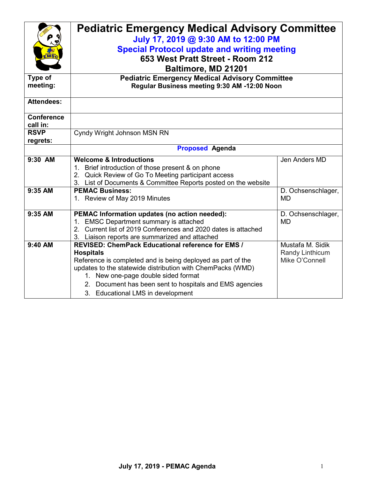|                               | <b>Pediatric Emergency Medical Advisory Committee</b><br>July 17, 2019 @ 9:30 AM to 12:00 PM                                   |                    |  |  |
|-------------------------------|--------------------------------------------------------------------------------------------------------------------------------|--------------------|--|--|
|                               | <b>Special Protocol update and writing meeting</b>                                                                             |                    |  |  |
| EMSc                          | 653 West Pratt Street - Room 212                                                                                               |                    |  |  |
|                               |                                                                                                                                |                    |  |  |
|                               | Baltimore, MD 21201                                                                                                            |                    |  |  |
| Type of                       | <b>Pediatric Emergency Medical Advisory Committee</b>                                                                          |                    |  |  |
| meeting:                      | Regular Business meeting 9:30 AM -12:00 Noon                                                                                   |                    |  |  |
| <b>Attendees:</b>             |                                                                                                                                |                    |  |  |
|                               |                                                                                                                                |                    |  |  |
| <b>Conference</b><br>call in: |                                                                                                                                |                    |  |  |
| <b>RSVP</b>                   | Cyndy Wright Johnson MSN RN                                                                                                    |                    |  |  |
| regrets:                      |                                                                                                                                |                    |  |  |
|                               | <b>Proposed Agenda</b>                                                                                                         |                    |  |  |
| 9:30 AM                       | <b>Welcome &amp; Introductions</b>                                                                                             | Jen Anders MD      |  |  |
|                               | 1. Brief introduction of those present & on phone                                                                              |                    |  |  |
|                               | 2. Quick Review of Go To Meeting participant access                                                                            |                    |  |  |
|                               | 3. List of Documents & Committee Reports posted on the website                                                                 |                    |  |  |
| 9:35 AM                       | <b>PEMAC Business:</b>                                                                                                         | D. Ochsenschlager, |  |  |
|                               | 1. Review of May 2019 Minutes                                                                                                  | <b>MD</b>          |  |  |
|                               |                                                                                                                                |                    |  |  |
| 9:35 AM                       | PEMAC Information updates (no action needed):                                                                                  | D. Ochsenschlager, |  |  |
|                               | <b>EMSC Department summary is attached</b><br>1 <sup>1</sup><br>2. Current list of 2019 Conferences and 2020 dates is attached | <b>MD</b>          |  |  |
|                               | 3. Liaison reports are summarized and attached                                                                                 |                    |  |  |
| 9:40 AM                       | REVISED: ChemPack Educational reference for EMS /                                                                              | Mustafa M. Sidik   |  |  |
|                               | <b>Hospitals</b>                                                                                                               | Randy Linthicum    |  |  |
|                               | Reference is completed and is being deployed as part of the                                                                    | Mike O'Connell     |  |  |
|                               | updates to the statewide distribution with ChemPacks (WMD)                                                                     |                    |  |  |
|                               | 1. New one-page double sided format                                                                                            |                    |  |  |
|                               | 2. Document has been sent to hospitals and EMS agencies                                                                        |                    |  |  |
|                               | 3. Educational LMS in development                                                                                              |                    |  |  |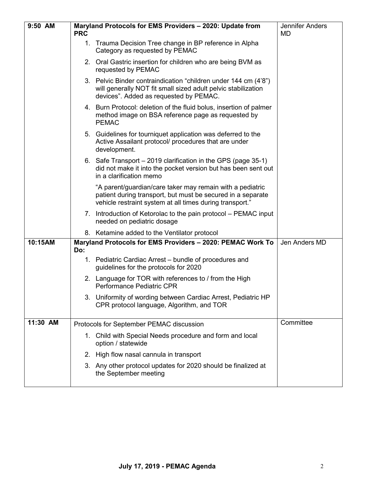| 9:50 AM  | <b>PRC</b> | Maryland Protocols for EMS Providers - 2020: Update from                                                                                                                             | <b>Jennifer Anders</b><br><b>MD</b> |
|----------|------------|--------------------------------------------------------------------------------------------------------------------------------------------------------------------------------------|-------------------------------------|
|          |            | 1. Trauma Decision Tree change in BP reference in Alpha<br>Category as requested by PEMAC                                                                                            |                                     |
|          |            | 2. Oral Gastric insertion for children who are being BVM as<br>requested by PEMAC                                                                                                    |                                     |
|          |            | 3. Pelvic Binder contraindication "children under 144 cm (4'8")<br>will generally NOT fit small sized adult pelvic stabilization<br>devices". Added as requested by PEMAC.           |                                     |
|          |            | 4. Burn Protocol: deletion of the fluid bolus, insertion of palmer<br>method image on BSA reference page as requested by<br><b>PEMAC</b>                                             |                                     |
|          |            | 5. Guidelines for tourniquet application was deferred to the<br>Active Assailant protocol/ procedures that are under<br>development.                                                 |                                     |
|          |            | 6. Safe Transport – 2019 clarification in the GPS (page 35-1)<br>did not make it into the pocket version but has been sent out<br>in a clarification memo                            |                                     |
|          |            | "A parent/guardian/care taker may remain with a pediatric<br>patient during transport, but must be secured in a separate<br>vehicle restraint system at all times during transport." |                                     |
|          |            | 7. Introduction of Ketorolac to the pain protocol – PEMAC input<br>needed on pediatric dosage                                                                                        |                                     |
|          |            | 8. Ketamine added to the Ventilator protocol                                                                                                                                         |                                     |
| 10:15AM  | Do:        | Maryland Protocols for EMS Providers - 2020: PEMAC Work To                                                                                                                           | Jen Anders MD                       |
|          |            | 1. Pediatric Cardiac Arrest - bundle of procedures and<br>guidelines for the protocols for 2020                                                                                      |                                     |
|          |            | 2. Language for TOR with references to / from the High<br>Performance Pediatric CPR                                                                                                  |                                     |
|          |            | 3. Uniformity of wording between Cardiac Arrest, Pediatric HP<br>CPR protocol language, Algorithm, and TOR                                                                           |                                     |
| 11:30 AM |            | Protocols for September PEMAC discussion                                                                                                                                             | Committee                           |
|          |            | 1. Child with Special Needs procedure and form and local<br>option / statewide                                                                                                       |                                     |
|          | 2.         | High flow nasal cannula in transport                                                                                                                                                 |                                     |
|          |            | 3. Any other protocol updates for 2020 should be finalized at<br>the September meeting                                                                                               |                                     |